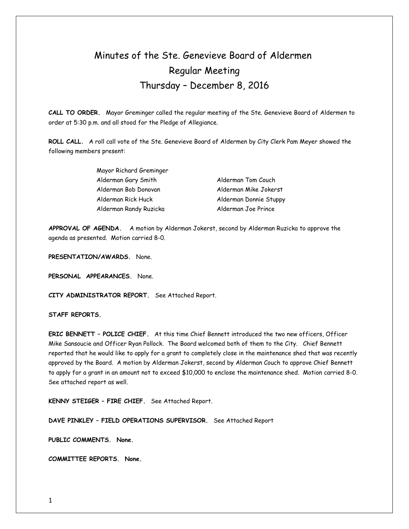# Minutes of the Ste. Genevieve Board of Aldermen Regular Meeting Thursday – December 8, 2016

**CALL TO ORDER.** Mayor Greminger called the regular meeting of the Ste. Genevieve Board of Aldermen to order at 5:30 p.m. and all stood for the Pledge of Allegiance.

**ROLL CALL.** A roll call vote of the Ste. Genevieve Board of Aldermen by City Clerk Pam Meyer showed the following members present:

> Mayor Richard Greminger Alderman Gary Smith Alderman Tom Couch Alderman Bob Donovan Alderman Mike Jokerst Alderman Rick Huck Alderman Donnie Stuppy Alderman Randy Ruzicka Alderman Joe Prince

**APPROVAL OF AGENDA.** A motion by Alderman Jokerst, second by Alderman Ruzicka to approve the agenda as presented. Motion carried 8-0.

**PRESENTATION/AWARDS.** None.

**PERSONAL APPEARANCES.** None.

**CITY ADMINISTRATOR REPORT.** See Attached Report.

**STAFF REPORTS.** 

**ERIC BENNETT – POLICE CHIEF.** At this time Chief Bennett introduced the two new officers, Officer Mike Sansoucie and Officer Ryan Pollock. The Board welcomed both of them to the City. Chief Bennett reported that he would like to apply for a grant to completely close in the maintenance shed that was recently approved by the Board. A motion by Alderman Jokerst, second by Alderman Couch to approve Chief Bennett to apply for a grant in an amount not to exceed \$10,000 to enclose the maintenance shed. Motion carried 8-0. See attached report as well.

**KENNY STEIGER – FIRE CHIEF.** See Attached Report.

**DAVE PINKLEY – FIELD OPERATIONS SUPERVISOR.** See Attached Report

**PUBLIC COMMENTS. None.** 

**COMMITTEE REPORTS. None.**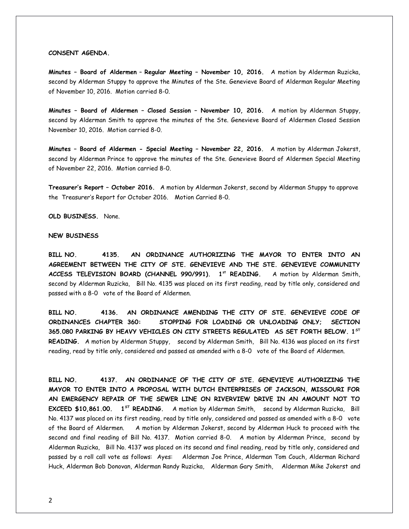#### **CONSENT AGENDA.**

**Minutes – Board of Aldermen** – **Regular Meeting – November 10, 2016.** A motion by Alderman Ruzicka, second by Alderman Stuppy to approve the Minutes of the Ste. Genevieve Board of Alderman Regular Meeting of November 10, 2016. Motion carried 8-0.

**Minutes – Board of Aldermen – Closed Session – November 10, 2016.** A motion by Alderman Stuppy, second by Alderman Smith to approve the minutes of the Ste. Genevieve Board of Aldermen Closed Session November 10, 2016. Motion carried 8-0.

**Minutes – Board of Aldermen - Special Meeting – November 22, 2016.** A motion by Alderman Jokerst, second by Alderman Prince to approve the minutes of the Ste. Genevieve Board of Aldermen Special Meeting of November 22, 2016. Motion carried 8-0.

**Treasurer's Report – October 2016.** A motion by Alderman Jokerst, second by Alderman Stuppy to approve the Treasurer's Report for October 2016. Motion Carried 8-0.

**OLD BUSINESS.** None.

## **NEW BUSINESS**

**BILL NO. 4135. AN ORDINANCE AUTHORIZING THE MAYOR TO ENTER INTO AN AGREEMENT BETWEEN THE CITY OF STE. GENEVIEVE AND THE STE. GENEVIEVE COMMUNITY ACCESS TELEVISION BOARD (CHANNEL 990/991). 1st READING.** A motion by Alderman Smith, second by Alderman Ruzicka, Bill No. 4135 was placed on its first reading, read by title only, considered and passed with a 8-0 vote of the Board of Aldermen.

**BILL NO. 4136. AN ORDINANCE AMENDING THE CITY OF STE. GENEVIEVE CODE OF ORDINANCES CHAPTER 360: STOPPING FOR LOADING OR UNLOADING ONLY; SECTION 365.080 PARKING BY HEAVY VEHICLES ON CITY STREETS REGULATED AS SET FORTH BELOW. 1ST READING.** A motion by Alderman Stuppy, second by Alderman Smith, Bill No. 4136 was placed on its first reading, read by title only, considered and passed as amended with a 8-0 vote of the Board of Aldermen.

**BILL NO. 4137. AN ORDINANCE OF THE CITY OF STE. GENEVIEVE AUTHORIZING THE MAYOR TO ENTER INTO A PROPOSAL WITH DUTCH ENTERPRISES OF JACKSON, MISSOURI FOR AN EMERGENCY REPAIR OF THE SEWER LINE ON RIVERVIEW DRIVE IN AN AMOUNT NOT TO EXCEED \$10,861.00. 1ST READING.** A motion by Alderman Smith, second by Alderman Ruzicka, Bill No. 4137 was placed on its first reading, read by title only, considered and passed as amended with a 8-0 vote of the Board of Aldermen. A motion by Alderman Jokerst, second by Alderman Huck to proceed with the second and final reading of Bill No. 4137. Motion carried 8-0. A motion by Alderman Prince, second by Alderman Ruzicka, Bill No. 4137 was placed on its second and final reading, read by title only, considered and passed by a roll call vote as follows: Ayes: Alderman Joe Prince, Alderman Tom Couch, Alderman Richard Huck, Alderman Bob Donovan, Alderman Randy Ruzicka, Alderman Gary Smith, Alderman Mike Jokerst and